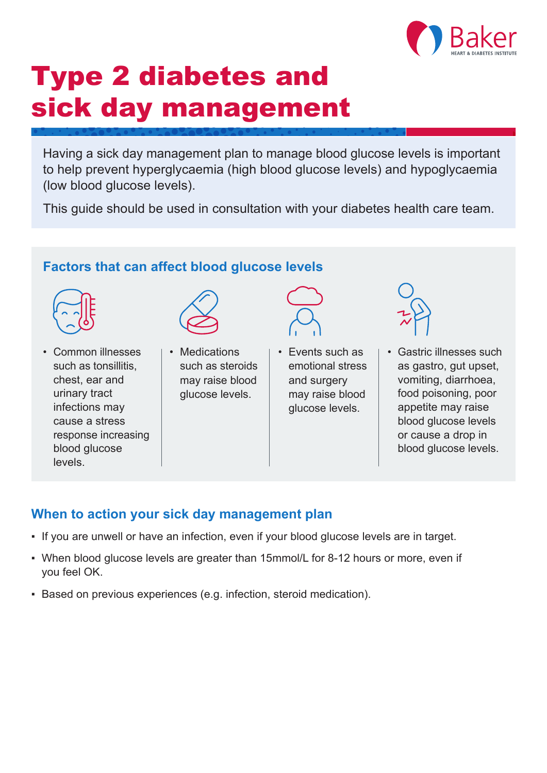

# Type 2 diabetes and sick day management

Having a sick day management plan to manage blood glucose levels is important to help prevent hyperglycaemia (high blood glucose levels) and hypoglycaemia (low blood glucose levels).

This guide should be used in consultation with your diabetes health care team.

### **Factors that can affect blood glucose levels**



• Common illnesses such as tonsillitis, chest, ear and urinary tract infections may cause a stress response increasing blood glucose levels.



• Medications such as steroids may raise blood glucose levels.



• Events such as emotional stress and surgery may raise blood glucose levels.



• Gastric illnesses such as gastro, gut upset, vomiting, diarrhoea, food poisoning, poor appetite may raise blood glucose levels or cause a drop in blood glucose levels.

#### **When to action your sick day management plan**

- If you are unwell or have an infection, even if your blood glucose levels are in target.
- When blood glucose levels are greater than 15mmol/L for 8-12 hours or more, even if you feel OK.
- **E** Based on previous experiences (e.g. infection, steroid medication).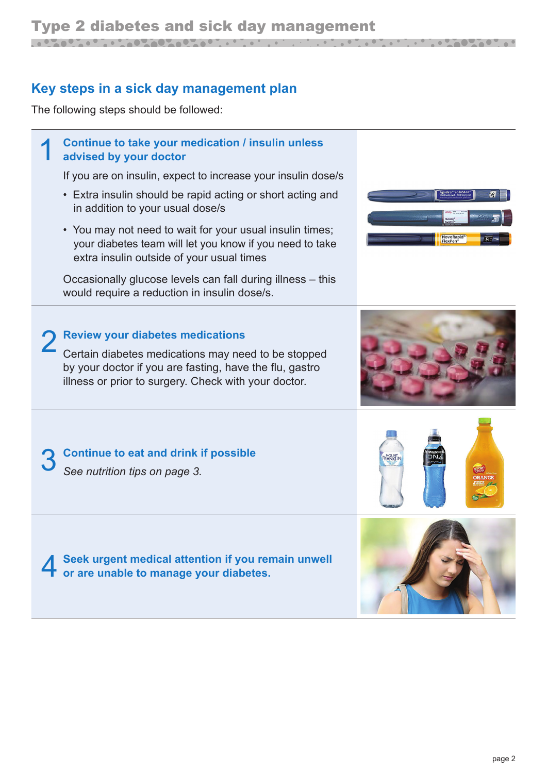### **Key steps in a sick day management plan**

in addition to your usual dose/s

The following steps should be followed:



• You may not need to wait for your usual insulin times; your diabetes team will let you know if you need to take

extra insulin outside of your usual times

Occasionally glucose levels can fall during illness – this would require a reduction in insulin dose/s.

2 **Review your diabetes medications** Certain diabetes medications may need to be stopped

by your doctor if you are fasting, have the flu, gastro illness or prior to surgery. Check with your doctor.



<u> a de la ciencia de la ciencia de la ciencia de la ciencia de la ciencia de la ciencia de la ciencia de la cie</u>





4 **Seek urgent medical attention if you remain unwell or are unable to manage your diabetes.**



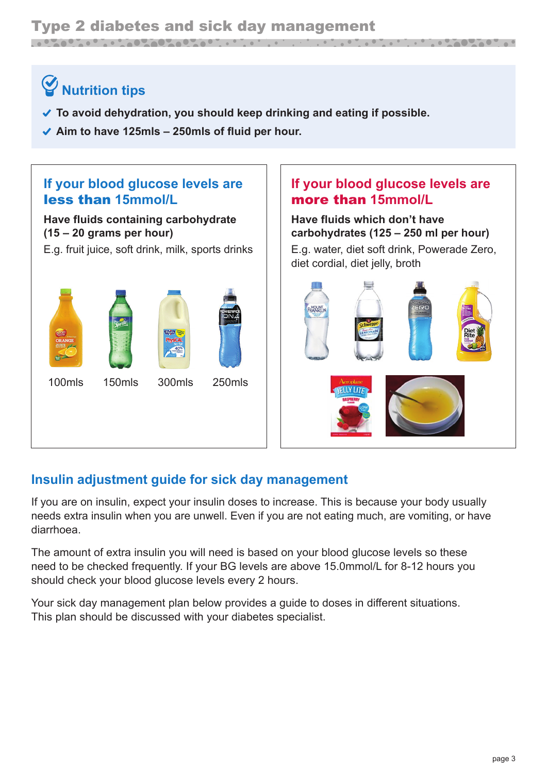#### Type 2 diabetes and sick day management <u> Louis Communication and Communication and Communication and Communication and Communication and Communication</u> <u>A BARBARA DI AB</u>

### **Nutrition tips**

- **To avoid dehydration, you should keep drinking and eating if possible.**
- **Aim to have 125mls 250mls of fluid per hour.**



#### **Insulin adjustment guide for sick day management**

If you are on insulin, expect your insulin doses to increase. This is because your body usually needs extra insulin when you are unwell. Even if you are not eating much, are vomiting, or have diarrhoea.

The amount of extra insulin you will need is based on your blood glucose levels so these need to be checked frequently. If your BG levels are above 15.0mmol/L for 8-12 hours you should check your blood glucose levels every 2 hours.

Your sick day management plan below provides a guide to doses in different situations. This plan should be discussed with your diabetes specialist.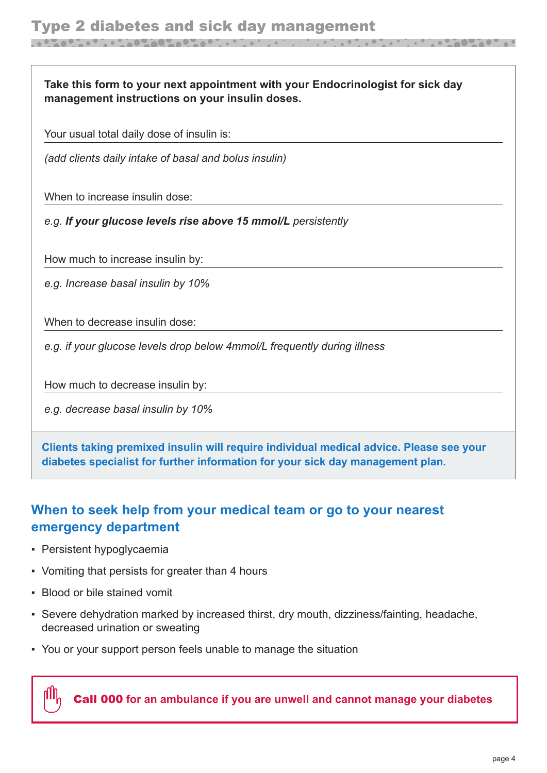**Take this form to your next appointment with your Endocrinologist for sick day management instructions on your insulin doses.**

Your usual total daily dose of insulin is:

*(add clients daily intake of basal and bolus insulin)*

When to increase insulin dose:

*e.g. If your glucose levels rise above 15 mmol/L persistently*

How much to increase insulin by:

*e.g. Increase basal insulin by 10%*

When to decrease insulin dose:

*e.g. if your glucose levels drop below 4mmol/L frequently during illness*

How much to decrease insulin by:

*e.g. decrease basal insulin by 10%*

**Clients taking premixed insulin will require individual medical advice. Please see your diabetes specialist for further information for your sick day management plan.**

#### **When to seek help from your medical team or go to your nearest emergency department**

- Persistent hypoglycaemia
- Vomiting that persists for greater than 4 hours
- Blood or bile stained vomit
- Severe dehydration marked by increased thirst, dry mouth, dizziness/fainting, headache, decreased urination or sweating
- You or your support person feels unable to manage the situation

Call 000 **for an ambulance if you are unwell and cannot manage your diabetes**